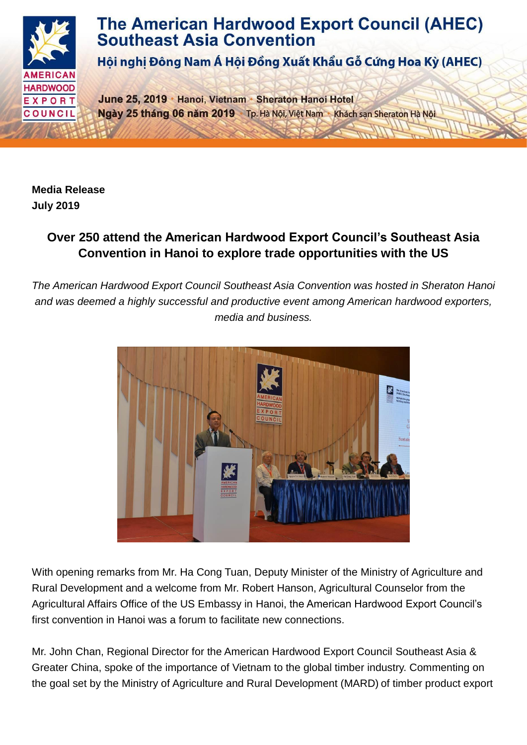

## **The American Hardwood Export Council (AHEC) Southeast Asia Convention**

Hội nghị Đông Nam Á Hội Đồng Xuất Khẩu Gỗ Cứng Hoa Kỳ (AHEC)

June 25, 2019 Hanoi, Vietnam Sheraton Hanoi Hotel Ngày 25 tháng 06 năm 2019 Tp. Hà Nội, Việt Nam Khách san Sheraton Hà Nội

**Media Release July 2019**

## **Over 250 attend the American Hardwood Export Council's Southeast Asia Convention in Hanoi to explore trade opportunities with the US**

*The American Hardwood Export Council Southeast Asia Convention was hosted in Sheraton Hanoi and was deemed a highly successful and productive event among American hardwood exporters, media and business.*



With opening remarks from Mr. Ha Cong Tuan, Deputy Minister of the Ministry of Agriculture and Rural Development and a welcome from Mr. Robert Hanson, Agricultural Counselor from the Agricultural Affairs Office of the US Embassy in Hanoi, the American Hardwood Export Council's first convention in Hanoi was a forum to facilitate new connections.

Mr. John Chan, Regional Director for the American Hardwood Export Council Southeast Asia & Greater China, spoke of the importance of Vietnam to the global timber industry. Commenting on the goal set by the Ministry of Agriculture and Rural Development (MARD) of timber product export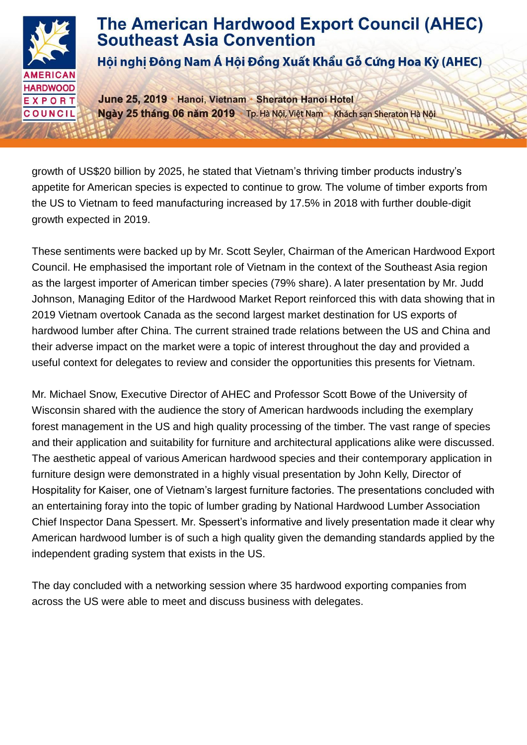

growth of US\$20 billion by 2025, he stated that Vietnam's thriving timber products industry's appetite for American species is expected to continue to grow. The volume of timber exports from the US to Vietnam to feed manufacturing increased by 17.5% in 2018 with further double-digit growth expected in 2019.

These sentiments were backed up by Mr. Scott Seyler, Chairman of the American Hardwood Export Council. He emphasised the important role of Vietnam in the context of the Southeast Asia region as the largest importer of American timber species (79% share). A later presentation by Mr. Judd Johnson, Managing Editor of the Hardwood Market Report reinforced this with data showing that in 2019 Vietnam overtook Canada as the second largest market destination for US exports of hardwood lumber after China. The current strained trade relations between the US and China and their adverse impact on the market were a topic of interest throughout the day and provided a useful context for delegates to review and consider the opportunities this presents for Vietnam.

Mr. Michael Snow, Executive Director of AHEC and Professor Scott Bowe of the University of Wisconsin shared with the audience the story of American hardwoods including the exemplary forest management in the US and high quality processing of the timber. The vast range of species and their application and suitability for furniture and architectural applications alike were discussed. The aesthetic appeal of various American hardwood species and their contemporary application in furniture design were demonstrated in a highly visual presentation by John Kelly, Director of Hospitality for Kaiser, one of Vietnam's largest furniture factories. The presentations concluded with an entertaining foray into the topic of lumber grading by National Hardwood Lumber Association Chief Inspector Dana Spessert. Mr. Spessert's informative and lively presentation made it clear why American hardwood lumber is of such a high quality given the demanding standards applied by the independent grading system that exists in the US.

The day concluded with a networking session where 35 hardwood exporting companies from across the US were able to meet and discuss business with delegates.